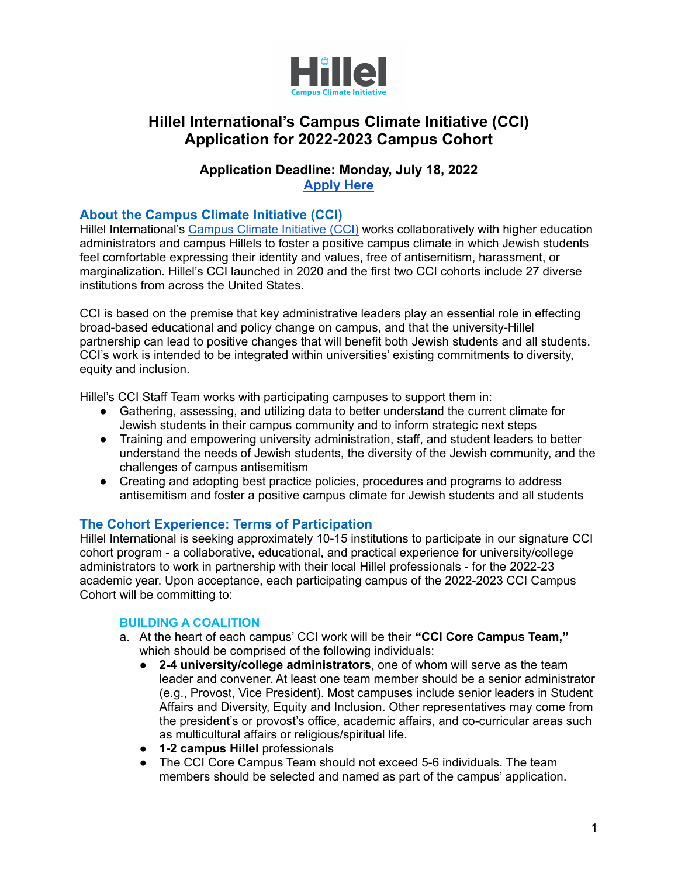

# **Hillel International's Campus Climate Initiative (CCI) Application for 2022-2023 Campus Cohort**

# **Application Deadline: Monday, July 18, 2022 [Apply Here](https://docs.google.com/forms/d/e/1FAIpQLScPW3LRklrXKcVGvyJYlbuWcWGSwoXLlGRahJuJWt4ABMuc1A/viewform?usp=sf_link)**

# **About the Campus Climate Initiative (CCI)**

Hillel International's [Campus](https://hillel.org/about/countering-antisemitism-on-campus/campus-climate-initiative) Climate Initiative (CCI) works collaboratively with higher education administrators and campus Hillels to foster a positive campus climate in which Jewish students feel comfortable expressing their identity and values, free of antisemitism, harassment, or marginalization. Hillel's CCI launched in 2020 and the first two CCI cohorts include 27 diverse institutions from across the United States.

CCI is based on the premise that key administrative leaders play an essential role in effecting broad-based educational and policy change on campus, and that the university-Hillel partnership can lead to positive changes that will benefit both Jewish students and all students. CCI's work is intended to be integrated within universities' existing commitments to diversity, equity and inclusion.

Hillel's CCI Staff Team works with participating campuses to support them in:

- Gathering, assessing, and utilizing data to better understand the current climate for Jewish students in their campus community and to inform strategic next steps
- Training and empowering university administration, staff, and student leaders to better understand the needs of Jewish students, the diversity of the Jewish community, and the challenges of campus antisemitism
- Creating and adopting best practice policies, procedures and programs to address antisemitism and foster a positive campus climate for Jewish students and all students

## **The Cohort Experience: Terms of Participation**

Hillel International is seeking approximately 10-15 institutions to participate in our signature CCI cohort program - a collaborative, educational, and practical experience for university/college administrators to work in partnership with their local Hillel professionals - for the 2022-23 academic year. Upon acceptance, each participating campus of the 2022-2023 CCI Campus Cohort will be committing to:

#### **BUILDING A COALITION**

- a. At the heart of each campus' CCI work will be their **"CCI Core Campus Team,"** which should be comprised of the following individuals:
	- **2-4 university/college administrators**, one of whom will serve as the team leader and convener. At least one team member should be a senior administrator (e.g., Provost, Vice President). Most campuses include senior leaders in Student Affairs and Diversity, Equity and Inclusion. Other representatives may come from the president's or provost's office, academic affairs, and co-curricular areas such as multicultural affairs or religious/spiritual life.
	- **1-2 campus Hillel** professionals
	- The CCI Core Campus Team should not exceed 5-6 individuals. The team members should be selected and named as part of the campus' application.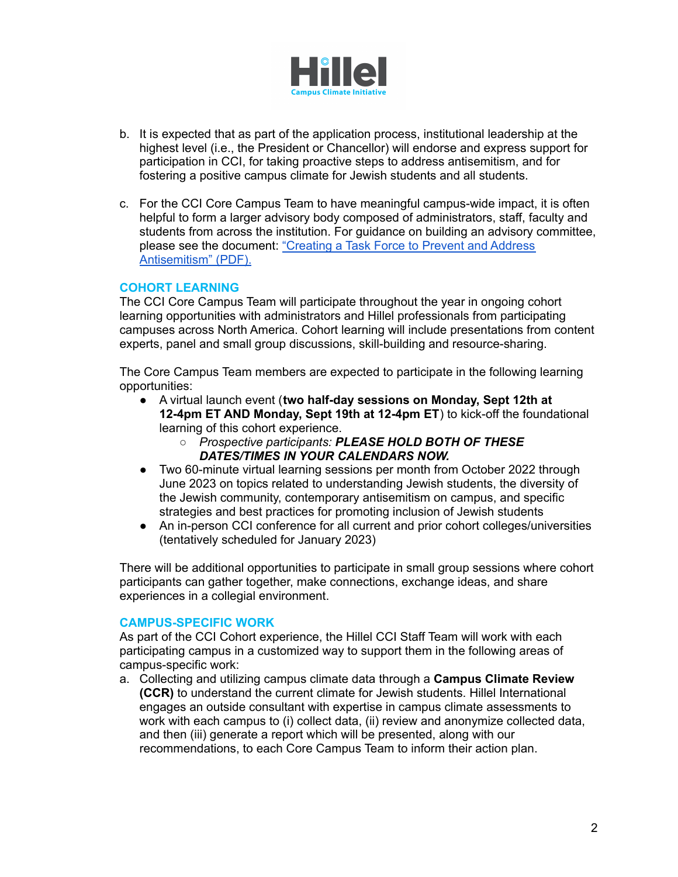

- b. It is expected that as part of the application process, institutional leadership at the highest level (i.e., the President or Chancellor) will endorse and express support for participation in CCI, for taking proactive steps to address antisemitism, and for fostering a positive campus climate for Jewish students and all students.
- c. For the CCI Core Campus Team to have meaningful campus-wide impact, it is often helpful to form a larger advisory body composed of administrators, staff, faculty and students from across the institution. For guidance on building an advisory committee, please see the document: ["Creating](https://drive.google.com/file/d/1eAHmJ_USIIaNp9Kz7_CbtacqbJwdgIP4/view) a Task Force to Prevent and Address [Antisemitism"](https://drive.google.com/file/d/1eAHmJ_USIIaNp9Kz7_CbtacqbJwdgIP4/view) (PDF).

### **COHORT LEARNING**

The CCI Core Campus Team will participate throughout the year in ongoing cohort learning opportunities with administrators and Hillel professionals from participating campuses across North America. Cohort learning will include presentations from content experts, panel and small group discussions, skill-building and resource-sharing.

The Core Campus Team members are expected to participate in the following learning opportunities:

- A virtual launch event (**two half-day sessions on Monday, Sept 12th at 12-4pm ET AND Monday, Sept 19th at 12-4pm ET**) to kick-off the foundational learning of this cohort experience.
	- *○ Prospective participants: PLEASE HOLD BOTH OF THESE DATES/TIMES IN YOUR CALENDARS NOW.*
- Two 60-minute virtual learning sessions per month from October 2022 through June 2023 on topics related to understanding Jewish students, the diversity of the Jewish community, contemporary antisemitism on campus, and specific strategies and best practices for promoting inclusion of Jewish students
- An in-person CCI conference for all current and prior cohort colleges/universities (tentatively scheduled for January 2023)

There will be additional opportunities to participate in small group sessions where cohort participants can gather together, make connections, exchange ideas, and share experiences in a collegial environment.

#### **CAMPUS-SPECIFIC WORK**

As part of the CCI Cohort experience, the Hillel CCI Staff Team will work with each participating campus in a customized way to support them in the following areas of campus-specific work:

a. Collecting and utilizing campus climate data through a **Campus Climate Review (CCR)** to understand the current climate for Jewish students. Hillel International engages an outside consultant with expertise in campus climate assessments to work with each campus to (i) collect data, (ii) review and anonymize collected data, and then (iii) generate a report which will be presented, along with our recommendations, to each Core Campus Team to inform their action plan.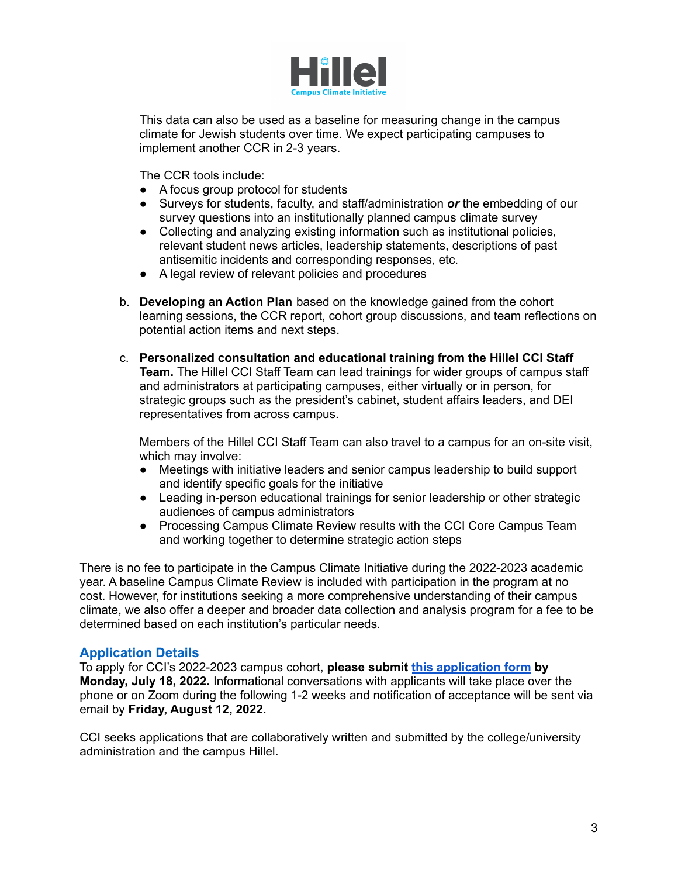

This data can also be used as a baseline for measuring change in the campus climate for Jewish students over time. We expect participating campuses to implement another CCR in 2-3 years.

The CCR tools include:

- A focus group protocol for students
- Surveys for students, faculty, and staff/administration *or* the embedding of our survey questions into an institutionally planned campus climate survey
- Collecting and analyzing existing information such as institutional policies, relevant student news articles, leadership statements, descriptions of past antisemitic incidents and corresponding responses, etc.
- A legal review of relevant policies and procedures
- b. **Developing an Action Plan** based on the knowledge gained from the cohort learning sessions, the CCR report, cohort group discussions, and team reflections on potential action items and next steps.
- c. **Personalized consultation and educational training from the Hillel CCI Staff Team.** The Hillel CCI Staff Team can lead trainings for wider groups of campus staff and administrators at participating campuses, either virtually or in person, for strategic groups such as the president's cabinet, student affairs leaders, and DEI representatives from across campus.

Members of the Hillel CCI Staff Team can also travel to a campus for an on-site visit, which may involve:

- Meetings with initiative leaders and senior campus leadership to build support and identify specific goals for the initiative
- Leading in-person educational trainings for senior leadership or other strategic audiences of campus administrators
- Processing Campus Climate Review results with the CCI Core Campus Team and working together to determine strategic action steps

There is no fee to participate in the Campus Climate Initiative during the 2022-2023 academic year. A baseline Campus Climate Review is included with participation in the program at no cost. However, for institutions seeking a more comprehensive understanding of their campus climate, we also offer a deeper and broader data collection and analysis program for a fee to be determined based on each institution's particular needs.

#### **Application Details**

To apply for CCI's 2022-2023 campus cohort, **please submit this [application](https://docs.google.com/forms/d/e/1FAIpQLScPW3LRklrXKcVGvyJYlbuWcWGSwoXLlGRahJuJWt4ABMuc1A/viewform?usp=sf_link) form by Monday, July 18, 2022.** Informational conversations with applicants will take place over the phone or on Zoom during the following 1-2 weeks and notification of acceptance will be sent via email by **Friday, August 12, 2022.**

CCI seeks applications that are collaboratively written and submitted by the college/university administration and the campus Hillel.